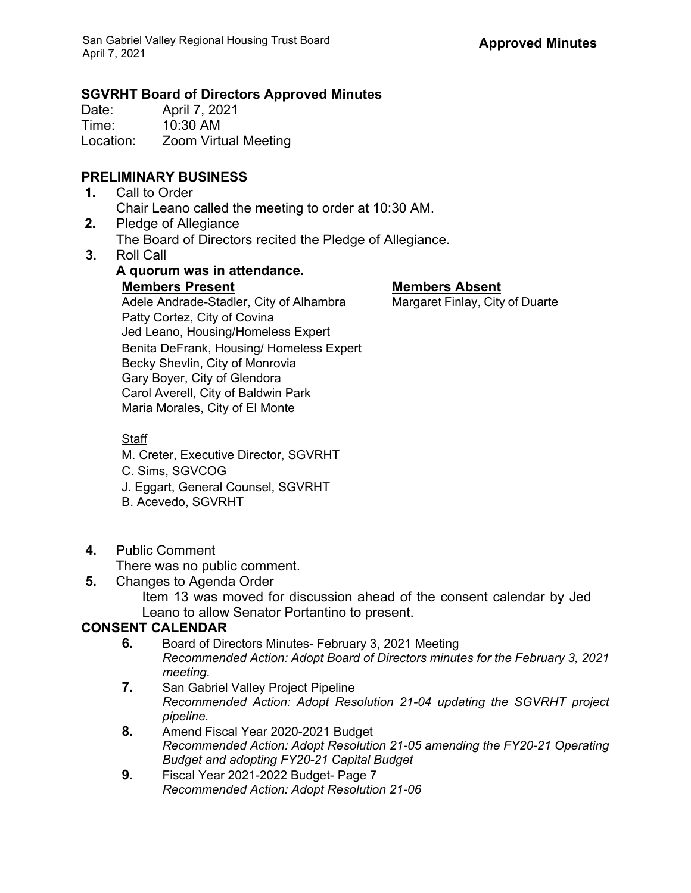## **SGVRHT Board of Directors Approved Minutes**

Date: April 7, 2021 Time: 10:30 AM Location: Zoom Virtual Meeting

# **PRELIMINARY BUSINESS**

- **1.** Call to Order Chair Leano called the meeting to order at 10:30 AM.
- **2.** Pledge of Allegiance The Board of Directors recited the Pledge of Allegiance.
- **3.** Roll Call

# **A quorum was in attendance. Members Present Members Absent** Adele Andrade-Stadler, City of Alhambra Margaret Finlay, City of Duarte

Patty Cortez, City of Covina Jed Leano, Housing/Homeless Expert Benita DeFrank, Housing/ Homeless Expert Becky Shevlin, City of Monrovia Gary Boyer, City of Glendora Carol Averell, City of Baldwin Park Maria Morales, City of El Monte

### **Staff**

- M. Creter, Executive Director, SGVRHT
- C. Sims, SGVCOG
- J. Eggart, General Counsel, SGVRHT
- B. Acevedo, SGVRHT
- **4.** Public Comment

There was no public comment.

**5.** Changes to Agenda Order

Item 13 was moved for discussion ahead of the consent calendar by Jed Leano to allow Senator Portantino to present.

# **CONSENT CALENDAR**

- **6.** Board of Directors Minutes- February 3, 2021 Meeting *Recommended Action: Adopt Board of Directors minutes for the February 3, 2021 meeting.*
- **7.** San Gabriel Valley Project Pipeline *Recommended Action: Adopt Resolution 21-04 updating the SGVRHT project pipeline.*
- **8.** Amend Fiscal Year 2020-2021 Budget *Recommended Action: Adopt Resolution 21-05 amending the FY20-21 Operating Budget and adopting FY20-21 Capital Budget*
- **9.** Fiscal Year 2021-2022 Budget- Page 7 *Recommended Action: Adopt Resolution 21-06*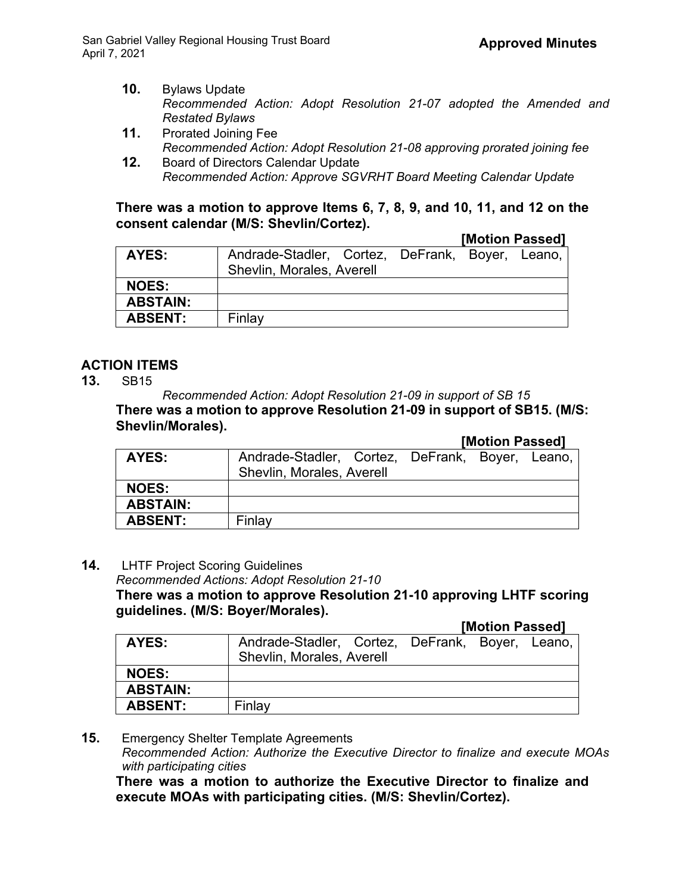- **10.** Bylaws Update *Recommended Action: Adopt Resolution 21-07 adopted the Amended and Restated Bylaws*
- **11.** Prorated Joining Fee *Recommended Action: Adopt Resolution 21-08 approving prorated joining fee*
- **12.** Board of Directors Calendar Update *Recommended Action: Approve SGVRHT Board Meeting Calendar Update*

#### **There was a motion to approve Items 6, 7, 8, 9, and 10, 11, and 12 on the consent calendar (M/S: Shevlin/Cortez).**

#### **[Motion Passed]**

| AYES:           | Andrade-Stadler, Cortez, DeFrank, Boyer, Leano, |  |  |
|-----------------|-------------------------------------------------|--|--|
|                 | Shevlin, Morales, Averell                       |  |  |
| <b>NOES:</b>    |                                                 |  |  |
| <b>ABSTAIN:</b> |                                                 |  |  |
| <b>ABSENT:</b>  | Finlay                                          |  |  |
|                 |                                                 |  |  |

# **ACTION ITEMS**

**13.** SB15

*Recommended Action: Adopt Resolution 21-09 in support of SB 15* **There was a motion to approve Resolution 21-09 in support of SB15. (M/S: Shevlin/Morales).**

|                 |                                                 | I |  |  |
|-----------------|-------------------------------------------------|---|--|--|
| AYES:           | Andrade-Stadler, Cortez, DeFrank, Boyer, Leano, |   |  |  |
|                 | Shevlin, Morales, Averell                       |   |  |  |
| <b>NOES:</b>    |                                                 |   |  |  |
| <b>ABSTAIN:</b> |                                                 |   |  |  |
| <b>ABSENT:</b>  | Finlay                                          |   |  |  |

**14.** LHTF Project Scoring Guidelines

*Recommended Actions: Adopt Resolution 21-10*

**There was a motion to approve Resolution 21-10 approving LHTF scoring guidelines. (M/S: Boyer/Morales).**

**[Motion Passed]**

**[Motion Passed]**

|                 |                                                 |  | ---------------- |  |  |
|-----------------|-------------------------------------------------|--|------------------|--|--|
| AYES:           | Andrade-Stadler, Cortez, DeFrank, Boyer, Leano, |  |                  |  |  |
|                 | Shevlin, Morales, Averell                       |  |                  |  |  |
| <b>NOES:</b>    |                                                 |  |                  |  |  |
| <b>ABSTAIN:</b> |                                                 |  |                  |  |  |
| <b>ABSENT:</b>  | Finlay                                          |  |                  |  |  |
|                 |                                                 |  |                  |  |  |

**15.** Emergency Shelter Template Agreements *Recommended Action: Authorize the Executive Director to finalize and execute MOAs with participating cities*

**There was a motion to authorize the Executive Director to finalize and execute MOAs with participating cities. (M/S: Shevlin/Cortez).**